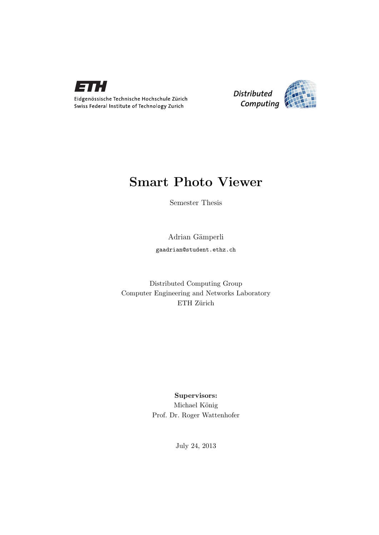



## Smart Photo Viewer

Semester Thesis

Adrian Gämperli gaadrian@student.ethz.ch

Distributed Computing Group Computer Engineering and Networks Laboratory ETH Zürich

> Supervisors: Michael König Prof. Dr. Roger Wattenhofer

> > July 24, 2013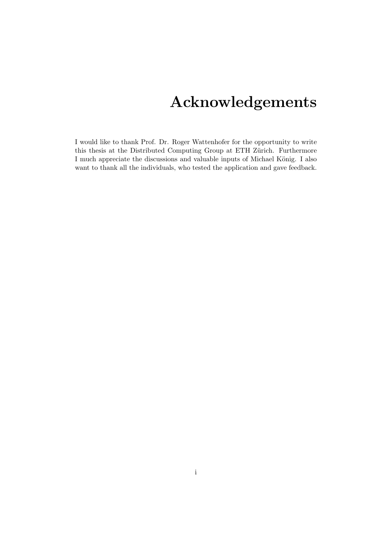# Acknowledgements

<span id="page-1-0"></span>I would like to thank Prof. Dr. Roger Wattenhofer for the opportunity to write this thesis at the Distributed Computing Group at ETH Zürich. Furthermore I much appreciate the discussions and valuable inputs of Michael König. I also want to thank all the individuals, who tested the application and gave feedback.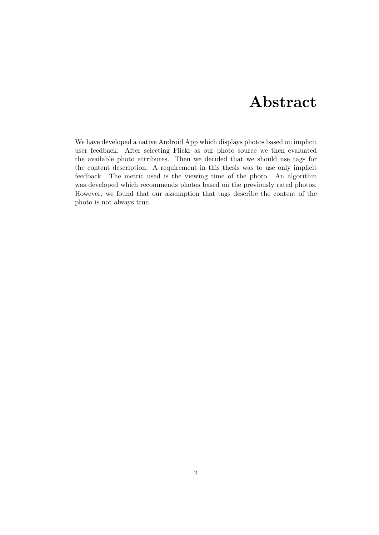# Abstract

<span id="page-2-0"></span>We have developed a native Android App which displays photos based on implicit user feedback. After selecting Flickr as our photo source we then evaluated the available photo attributes. Then we decided that we should use tags for the content description. A requirement in this thesis was to use only implicit feedback. The metric used is the viewing time of the photo. An algorithm was developed which recommends photos based on the previously rated photos. However, we found that our assumption that tags describe the content of the photo is not always true.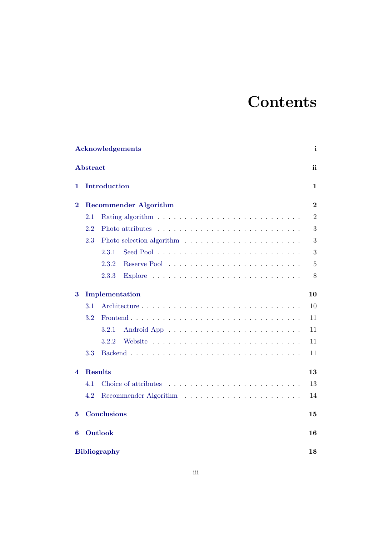# **Contents**

|          |                 | <b>Acknowledgements</b>                                                      | $\mathbf{i}$     |
|----------|-----------------|------------------------------------------------------------------------------|------------------|
|          | <b>Abstract</b> |                                                                              | ii               |
| 1        |                 | Introduction                                                                 | 1                |
| $\bf{2}$ |                 | <b>Recommender Algorithm</b>                                                 | $\bf{2}$         |
|          | 2.1             |                                                                              | $\boldsymbol{2}$ |
|          | 2.2             |                                                                              | 3                |
|          | 2.3             | Photo selection algorithm $\ldots \ldots \ldots \ldots \ldots \ldots \ldots$ | 3                |
|          |                 | 2.3.1                                                                        | 3                |
|          |                 | 2.3.2                                                                        | 5                |
|          |                 | 2.3.3                                                                        | 8                |
| 3        |                 | Implementation                                                               | 10               |
|          | 3.1             |                                                                              | 10               |
|          | 3.2             |                                                                              | 11               |
|          |                 | 3.2.1                                                                        | 11               |
|          |                 | 3.2.2                                                                        | 11               |
|          | 3.3             |                                                                              | 11               |
| 4        |                 | <b>Results</b>                                                               | 13               |
|          | 4.1             |                                                                              | 13               |
|          | 4.2             |                                                                              | 14               |
| $\bf{5}$ |                 | <b>Conclusions</b>                                                           | 15               |
| 6        |                 | Outlook                                                                      | 16               |
|          |                 | <b>Bibliography</b>                                                          | 18               |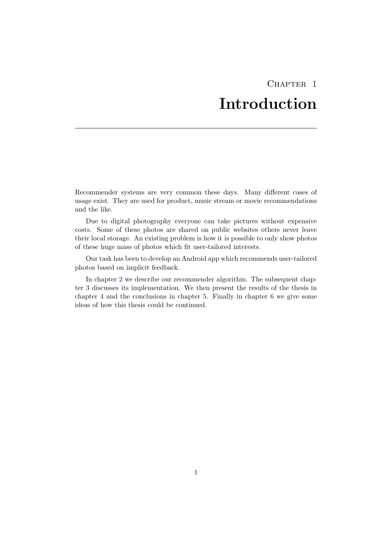# CHAPTER<sub>1</sub> Introduction

<span id="page-4-0"></span>Recommender systems are very common these days. Many different cases of usage exist. They are used for product, music stream or movie recommendations and the like.

Due to digital photography everyone can take pictures without expensive costs. Some of these photos are shared on public websites others never leave their local storage. An existing problem is how it is possible to only show photos of these huge mass of photos which fit user-tailored interests.

Our task has been to develop an Android app which recommends user-tailored photos based on implicit feedback.

In chapter [2](#page-5-0) we describe our recommender algorithm. The subsequent chapter [3](#page-13-0) discusses its implementation. We then present the results of the thesis in chapter [4](#page-16-0) and the conclusions in chapter [5.](#page-18-0) Finally in chapter [6](#page-19-0) we give some ideas of how this thesis could be continued.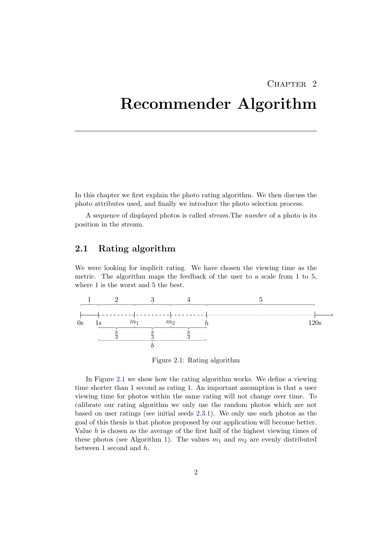## CHAPTER<sub>2</sub>

# <span id="page-5-0"></span>Recommender Algorithm

In this chapter we first explain the photo rating algorithm. We then discuss the photo attributes used, and finally we introduce the photo selection process.

A sequence of displayed photos is called stream.The number of a photo is its position in the stream.

## <span id="page-5-1"></span>2.1 Rating algorithm

We were looking for implicit rating. We have chosen the viewing time as the metric. The algorithm maps the feedback of the user to a scale from 1 to 5, where 1 is the worst and 5 the best.

<span id="page-5-2"></span>

Figure 2.1: Rating algorithm

In Figure [2.1](#page-5-2) we show how the rating algorithm works. We define a viewing time shorter than 1 second as rating 1. An important assumption is that a user viewing time for photos within the same rating will not change over time. To calibrate our rating algorithm we only use the random photos which are not based on user ratings (see initial seeds [2.3.1\)](#page-7-0). We only use such photos as the goal of this thesis is that photos proposed by our application will become better. Value  $h$  is chosen as the average of the first half of the highest viewing times of these photos (see Algorithm [1\)](#page-6-3). The values  $m_1$  and  $m_2$  are evenly distributed between 1 second and h.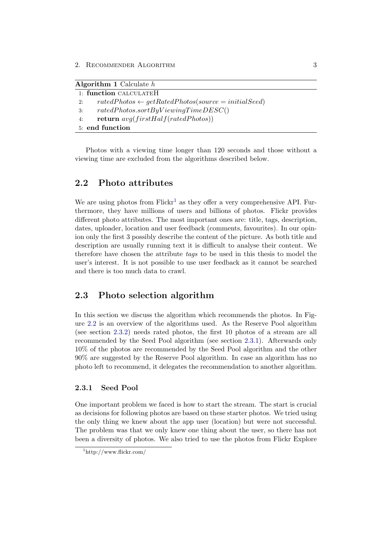<span id="page-6-3"></span>

| <b>Algorithm 1</b> Calculate $h$                                    |  |  |  |
|---------------------------------------------------------------------|--|--|--|
| 1: function CALCULATEH                                              |  |  |  |
| $ratedPhotos \leftarrow getRatedPhotos(source = initialSeed)$<br>2: |  |  |  |
| ratedPhotos.sortByViewingTimeDESC()<br>3:                           |  |  |  |
| return $avg(firstHalf(ratedPhoto))$<br>4:                           |  |  |  |
| 5: end function                                                     |  |  |  |

Photos with a viewing time longer than 120 seconds and those without a viewing time are excluded from the algorithms described below.

### <span id="page-6-0"></span>2.2 Photo attributes

We are using photos from  $Flickr^1$  $Flickr^1$  as they offer a very comprehensive API. Furthermore, they have millions of users and billions of photos. Flickr provides different photo attributes. The most important ones are: title, tags, description, dates, uploader, location and user feedback (comments, favourites). In our opinion only the first 3 possibly describe the content of the picture. As both title and description are usually running text it is difficult to analyse their content. We therefore have chosen the attribute tags to be used in this thesis to model the user's interest. It is not possible to use user feedback as it cannot be searched and there is too much data to crawl.

## <span id="page-6-1"></span>2.3 Photo selection algorithm

In this section we discuss the algorithm which recommends the photos. In Figure [2.2](#page-7-1) is an overview of the algorithms used. As the Reserve Pool algorithm (see section [2.3.2\)](#page-8-0) needs rated photos, the first 10 photos of a stream are all recommended by the Seed Pool algorithm (see section [2.3.1\)](#page-6-2). Afterwards only 10% of the photos are recommended by the Seed Pool algorithm and the other 90% are suggested by the Reserve Pool algorithm. In case an algorithm has no photo left to recommend, it delegates the recommendation to another algorithm.

#### <span id="page-6-2"></span>2.3.1 Seed Pool

One important problem we faced is how to start the stream. The start is crucial as decisions for following photos are based on these starter photos. We tried using the only thing we knew about the app user (location) but were not successful. The problem was that we only knew one thing about the user, so there has not been a diversity of photos. We also tried to use the photos from Flickr Explore

<span id="page-6-4"></span><sup>1</sup>http://www.flickr.com/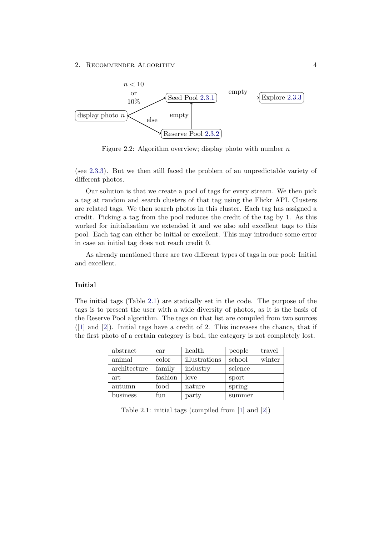<span id="page-7-1"></span>

Figure 2.2: Algorithm overview; display photo with number  $n$ 

(see [2.3.3\)](#page-11-0). But we then still faced the problem of an unpredictable variety of different photos.

Our solution is that we create a pool of tags for every stream. We then pick a tag at random and search clusters of that tag using the Flickr API. Clusters are related tags. We then search photos in this cluster. Each tag has assigned a credit. Picking a tag from the pool reduces the credit of the tag by 1. As this worked for initialisation we extended it and we also add excellent tags to this pool. Each tag can either be initial or excellent. This may introduce some error in case an initial tag does not reach credit 0.

As already mentioned there are two different types of tags in our pool: Initial and excellent.

#### <span id="page-7-0"></span>Initial

The initial tags (Table [2.1\)](#page-7-2) are statically set in the code. The purpose of the tags is to present the user with a wide diversity of photos, as it is the basis of the Reserve Pool algorithm. The tags on that list are compiled from two sources  $([1]$  $([1]$  and  $[2]$ ). Initial tags have a credit of 2. This increases the chance, that if the first photo of a certain category is bad, the category is not completely lost.

<span id="page-7-2"></span>

| abstract     | car     | health        | people  | travel |
|--------------|---------|---------------|---------|--------|
| animal       | color   | illustrations | school  | winter |
| architecture | family  | industry      | science |        |
| <i>art</i>   | fashion | love          | sport   |        |
| autumn       | food    | nature        | spring  |        |
| business     | fun     | party         | summer  |        |

| Table 2.1: initial tags (compiled from $[1]$ and $[2]$ ) |  |  |  |  |  |  |
|----------------------------------------------------------|--|--|--|--|--|--|
|----------------------------------------------------------|--|--|--|--|--|--|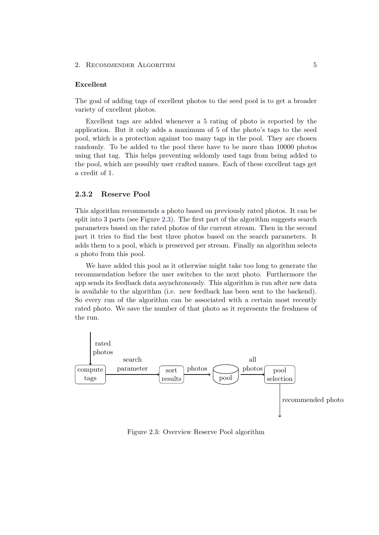#### Excellent

The goal of adding tags of excellent photos to the seed pool is to get a broader variety of excellent photos.

Excellent tags are added whenever a 5 rating of photo is reported by the application. But it only adds a maximum of 5 of the photo's tags to the seed pool, which is a protection against too many tags in the pool. They are chosen randomly. To be added to the pool there have to be more than 10000 photos using that tag. This helps preventing seldomly used tags from being added to the pool, which are possibly user crafted names. Each of these excellent tags get a credit of 1.

#### <span id="page-8-0"></span>2.3.2 Reserve Pool

This algorithm recommends a photo based on previously rated photos. It can be split into 3 parts (see Figure [2.3\)](#page-8-1). The first part of the algorithm suggests search parameters based on the rated photos of the current stream. Then in the second part it tries to find the best three photos based on the search parameters. It adds them to a pool, which is preserved per stream. Finally an algorithm selects a photo from this pool.

We have added this pool as it otherwise might take too long to generate the recommendation before the user switches to the next photo. Furthermore the app sends its feedback data asynchronously. This algorithm is run after new data is available to the algorithm (i.e. new feedback has been sent to the backend). So every run of the algorithm can be associated with a certain most recently rated photo. We save the number of that photo as it represents the freshness of the run.

<span id="page-8-1"></span>

Figure 2.3: Overview Reserve Pool algorithm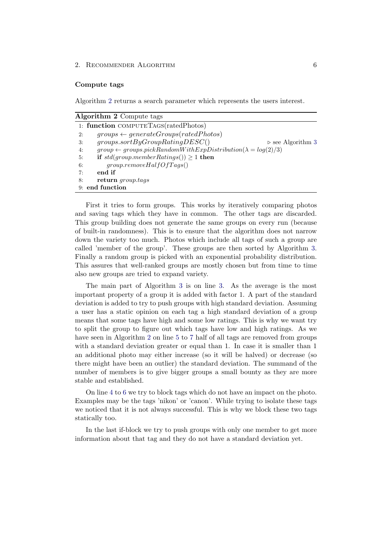#### <span id="page-9-1"></span>Compute tags

Algorithm [2](#page-9-0) returns a search parameter which represents the users interest.

<span id="page-9-0"></span>

| <b>Algorithm 2</b> Compute tags                                                   |  |  |  |  |
|-----------------------------------------------------------------------------------|--|--|--|--|
| 1: function COMPUTETAGS(ratedPhotos)                                              |  |  |  |  |
| $groups \leftarrow generateGroups(ratedPhotos)$<br>2:                             |  |  |  |  |
| groups.sortByGroupRating DESC()<br>$\triangleright$ see Algorithm 3<br>3:         |  |  |  |  |
| $group \leftarrow groups.pickRandomWithExpDistribution(\lambda = log(2)/3)$<br>4: |  |  |  |  |
| if $std(group. \textit{memberRatings}()) \geq 1$ then<br>5:                       |  |  |  |  |
| group. removeHalfOfTags()<br>6:                                                   |  |  |  |  |
| end if<br>7:                                                                      |  |  |  |  |
| return <i>group.tags</i><br>8:                                                    |  |  |  |  |
| 9: end function                                                                   |  |  |  |  |

First it tries to form groups. This works by iteratively comparing photos and saving tags which they have in common. The other tags are discarded. This group building does not generate the same groups on every run (because of built-in randomness). This is to ensure that the algorithm does not narrow down the variety too much. Photos which include all tags of such a group are called 'member of the group'. These groups are then sorted by Algorithm [3.](#page-10-0) Finally a random group is picked with an exponential probability distribution. This assures that well-ranked groups are mostly chosen but from time to time also new groups are tried to expand variety.

The main part of Algorithm [3](#page-10-0) is on line [3.](#page-9-0) As the average is the most important property of a group it is added with factor 1. A part of the standard deviation is added to try to push groups with high standard deviation. Assuming a user has a static opinion on each tag a high standard deviation of a group means that some tags have high and some low ratings. This is why we want try to split the group to figure out which tags have low and high ratings. As we have seen in Algorithm [2](#page-9-0) on line [5](#page-9-1) to [7](#page-9-1) half of all tags are removed from groups with a standard deviation greater or equal than 1. In case it is smaller than 1 an additional photo may either increase (so it will be halved) or decrease (so there might have been an outlier) the standard deviation. The summand of the number of members is to give bigger groups a small bounty as they are more stable and established.

On line [4](#page-9-0) to [6](#page-9-0) we try to block tags which do not have an impact on the photo. Examples may be the tags 'nikon' or 'canon'. While trying to isolate these tags we noticed that it is not always successful. This is why we block these two tags statically too.

In the last if-block we try to push groups with only one member to get more information about that tag and they do not have a standard deviation yet.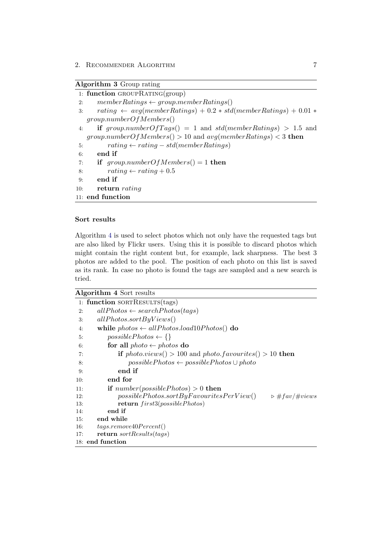#### <span id="page-10-0"></span>Algorithm 3 Group rating

```
1: function groupRating(group)
```
- 2: memberRatings  $\leftarrow group.$  memberRatings()
- 3:  $rating \leftarrow avg(memberRatings) + 0.2 * std(memberRatings) + 0.01 *$ group.numberOfMembers()
- 4: if group.numberOfTags() = 1 and std(memberRatings) > 1.5 and  $group numberOfMembers() > 10$  and  $avg(memberRatings) < 3$  then
- 5:  $rating \leftarrow rating std(memberRating)$
- 6: end if
- 7: if group.numberOfMembers() = 1 then
- 8:  $rating \leftarrow rating + 0.5$
- 9: end if
- 10: return rating
- 11: end function

#### Sort results

Algorithm [4](#page-10-1) is used to select photos which not only have the requested tags but are also liked by Flickr users. Using this it is possible to discard photos which might contain the right content but, for example, lack sharpness. The best 3 photos are added to the pool. The position of each photo on this list is saved as its rank. In case no photo is found the tags are sampled and a new search is tried.

<span id="page-10-1"></span>Algorithm 4 Sort results

|     | $1:$ function SORTRESULTS(tags)                                                |
|-----|--------------------------------------------------------------------------------|
| 2:  | $allPhotos \leftarrow searchPhotos(tags)$                                      |
| 3:  | allPhotos.sortByViews()                                                        |
| 4:  | while $photos \leftarrow allPhotos.load10Photos()$ do                          |
| 5:  | $possiblePhotos \leftarrow \{\}$                                               |
| 6:  | for all $photo \leftarrow photos$ do                                           |
| 7:  | if $photo.views() > 100$ and $photo.favourites() > 10$ then                    |
| 8:  | $possiblePhotos \leftarrow possiblePhotos \cup photo$                          |
| 9:  | end if                                                                         |
| 10: | end for                                                                        |
| 11: | <b>if</b> $number(possiblePhotos) > 0$ then                                    |
| 12: | $possiblePhotos.sortByFavouritesPerView()$<br>$\triangleright \# fav/\# views$ |
| 13: | return $first3(possiblePhotos)$                                                |
| 14: | end if                                                                         |
| 15: | end while                                                                      |
| 16: | tags.remove40Percent()                                                         |
| 17: | return $sortResults(tags)$                                                     |
|     | 18: end function                                                               |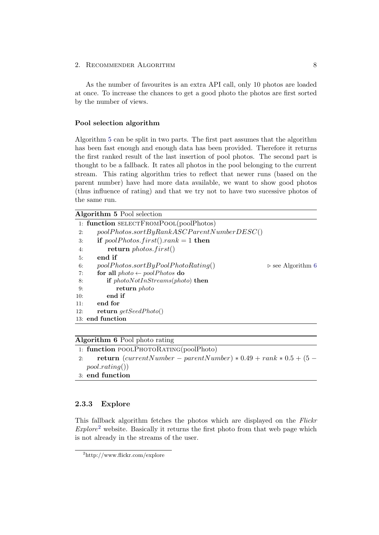As the number of favourites is an extra API call, only 10 photos are loaded at once. To increase the chances to get a good photo the photos are first sorted by the number of views.

#### Pool selection algorithm

Algorithm [5](#page-11-1) can be split in two parts. The first part assumes that the algorithm has been fast enough and enough data has been provided. Therefore it returns the first ranked result of the last insertion of pool photos. The second part is thought to be a fallback. It rates all photos in the pool belonging to the current stream. This rating algorithm tries to reflect that newer runs (based on the parent number) have had more data available, we want to show good photos (thus influence of rating) and that we try not to have two sucessive photos of the same run.

<span id="page-11-1"></span>Algorithm 5 Pool selection

|     | 1: function SELECTFROMPOOL(poolPhotos)       |                                  |
|-----|----------------------------------------------|----------------------------------|
| 2:  | $poolPhotos.sortByRankASCParentNumberDESC()$ |                                  |
| 3:  | if $poolPhotos.first().rank = 1$ then        |                                  |
| 4:  | return $photos.first()$                      |                                  |
| 5:  | end if                                       |                                  |
| 6:  | poolPhotos.sortByPoolPhotoRating()           | $\triangleright$ see Algorithm 6 |
| 7:  | for all $photo \leftarrow poolPhotos$ do     |                                  |
| 8:  | if $photoNotInStreams(photo)$ then           |                                  |
| 9:  | return photo                                 |                                  |
| 10: | end if                                       |                                  |
| 11: | end for                                      |                                  |
| 12: | return $getSeedPhoto()$                      |                                  |
|     | 13: end function                             |                                  |
|     |                                              |                                  |

#### <span id="page-11-2"></span>Algorithm 6 Pool photo rating

- 1: function POOLPHOTORATING(poolPhoto)
- 2: return  $(currentNumber parentNumber) * 0.49 + rank * 0.5 + (5$  $pool.rating()$
- 3: end function

#### <span id="page-11-0"></span>2.3.3 Explore

This fallback algorithm fetches the photos which are displayed on the Flickr  $Explore<sup>2</sup>$  $Explore<sup>2</sup>$  $Explore<sup>2</sup>$  website. Basically it returns the first photo from that web page which is not already in the streams of the user.

<span id="page-11-3"></span><sup>2</sup>http://www.flickr.com/explore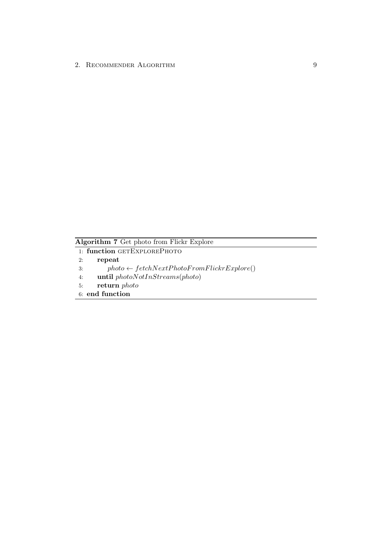Algorithm 7 Get photo from Flickr Explore

- 1: function GETEXPLOREPHOTO
- 2: repeat
- 3:  $photo \leftarrow fetchNextPhotoFromFlickrExplore()$
- 4: until photoNotInStreams(photo)
- 5: return photo
- 6: end function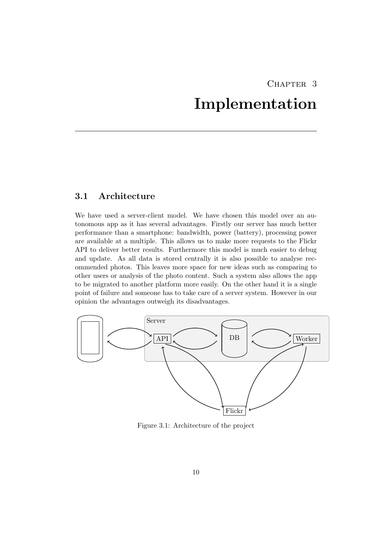## CHAPTER<sub>3</sub>

## Implementation

## <span id="page-13-1"></span><span id="page-13-0"></span>3.1 Architecture

We have used a server-client model. We have chosen this model over an autonomous app as it has several advantages. Firstly our server has much better performance than a smartphone: bandwidth, power (battery), processing power are available at a multiple. This allows us to make more requests to the Flickr API to deliver better results. Furthermore this model is much easier to debug and update. As all data is stored centrally it is also possible to analyse recommended photos. This leaves more space for new ideas such as comparing to other users or analysis of the photo content. Such a system also allows the app to be migrated to another platform more easily. On the other hand it is a single point of failure and someone has to take care of a server system. However in our opinion the advantages outweigh its disadvantages.



Figure 3.1: Architecture of the project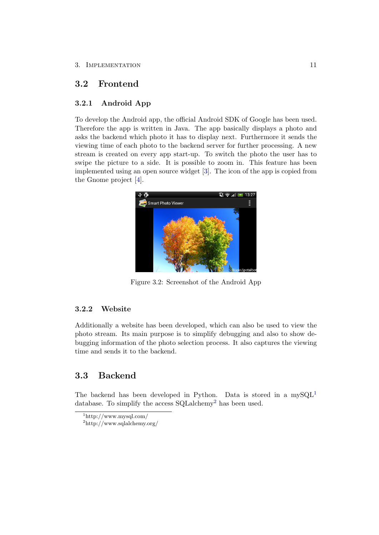### <span id="page-14-0"></span>3.2 Frontend

#### <span id="page-14-1"></span>3.2.1 Android App

To develop the Android app, the official Android SDK of Google has been used. Therefore the app is written in Java. The app basically displays a photo and asks the backend which photo it has to display next. Furthermore it sends the viewing time of each photo to the backend server for further processing. A new stream is created on every app start-up. To switch the photo the user has to swipe the picture to a side. It is possible to zoom in. This feature has been implemented using an open source widget [\[3\]](#page-21-3). The icon of the app is copied from the Gnome project [\[4\]](#page-21-4).



Figure 3.2: Screenshot of the Android App

#### <span id="page-14-2"></span>3.2.2 Website

Additionally a website has been developed, which can also be used to view the photo stream. Its main purpose is to simplify debugging and also to show debugging information of the photo selection process. It also captures the viewing time and sends it to the backend.

### <span id="page-14-3"></span>3.3 Backend

The backend has been developed in Python. Data is stored in a mySQL<sup>[1](#page-14-4)</sup> database. To simplify the access SQLalchemy<sup>[2](#page-14-5)</sup> has been used.

<span id="page-14-4"></span> $1$ http://www.mysql.com/

<span id="page-14-5"></span><sup>2</sup>http://www.sqlalchemy.org/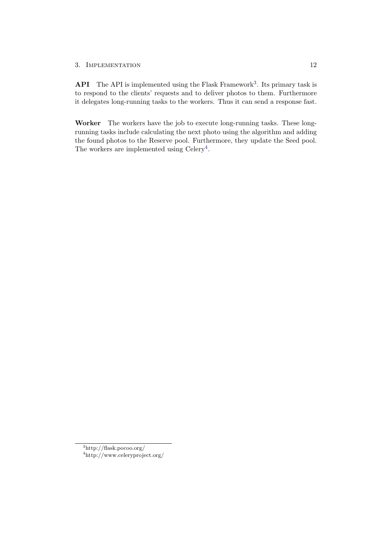#### 3. IMPLEMENTATION 12

**API** The API is implemented using the Flask Framework<sup>[3](#page-15-0)</sup>. Its primary task is to respond to the clients' requests and to deliver photos to them. Furthermore it delegates long-running tasks to the workers. Thus it can send a response fast.

Worker The workers have the job to execute long-running tasks. These longrunning tasks include calculating the next photo using the algorithm and adding the found photos to the Reserve pool. Furthermore, they update the Seed pool. The workers are implemented using  $CeIery<sup>4</sup>$  $CeIery<sup>4</sup>$  $CeIery<sup>4</sup>$ .

<span id="page-15-0"></span><sup>3</sup>http://flask.pocoo.org/

<span id="page-15-1"></span><sup>4</sup>http://www.celeryproject.org/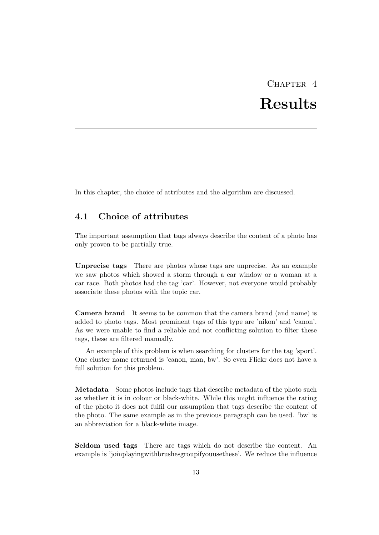# $CHAPTER$  4 Results

<span id="page-16-0"></span>In this chapter, the choice of attributes and the algorithm are discussed.

## <span id="page-16-1"></span>4.1 Choice of attributes

The important assumption that tags always describe the content of a photo has only proven to be partially true.

Unprecise tags There are photos whose tags are unprecise. As an example we saw photos which showed a storm through a car window or a woman at a car race. Both photos had the tag 'car'. However, not everyone would probably associate these photos with the topic car.

Camera brand It seems to be common that the camera brand (and name) is added to photo tags. Most prominent tags of this type are 'nikon' and 'canon'. As we were unable to find a reliable and not conflicting solution to filter these tags, these are filtered manually.

An example of this problem is when searching for clusters for the tag 'sport'. One cluster name returned is 'canon, man, bw'. So even Flickr does not have a full solution for this problem.

Metadata Some photos include tags that describe metadata of the photo such as whether it is in colour or black-white. While this might influence the rating of the photo it does not fulfil our assumption that tags describe the content of the photo. The same example as in the previous paragraph can be used. 'bw' is an abbreviation for a black-white image.

Seldom used tags There are tags which do not describe the content. An example is 'joinplayingwithbrushesgroupifyouusethese'. We reduce the influence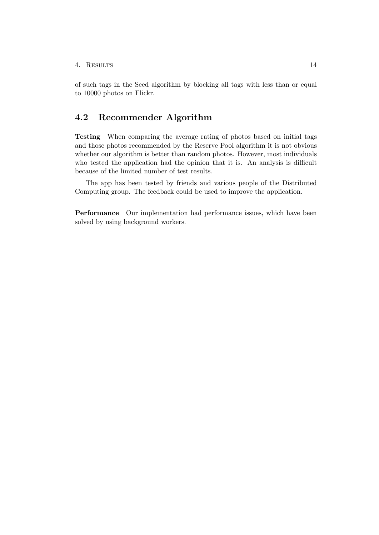#### 4. Results 14

of such tags in the Seed algorithm by blocking all tags with less than or equal to 10000 photos on Flickr.

## <span id="page-17-0"></span>4.2 Recommender Algorithm

Testing When comparing the average rating of photos based on initial tags and those photos recommended by the Reserve Pool algorithm it is not obvious whether our algorithm is better than random photos. However, most individuals who tested the application had the opinion that it is. An analysis is difficult because of the limited number of test results.

The app has been tested by friends and various people of the Distributed Computing group. The feedback could be used to improve the application.

Performance Our implementation had performance issues, which have been solved by using background workers.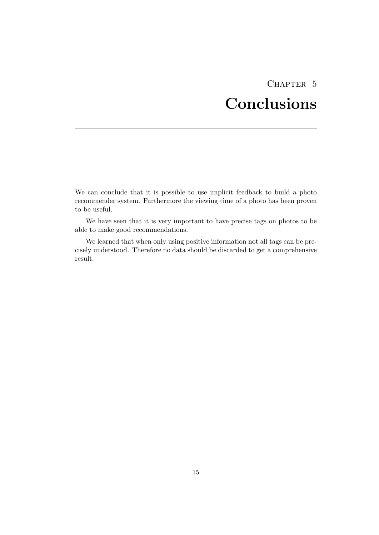# CHAPTER 5 Conclusions

<span id="page-18-0"></span>We can conclude that it is possible to use implicit feedback to build a photo recommender system. Furthermore the viewing time of a photo has been proven to be useful.

We have seen that it is very important to have precise tags on photos to be able to make good recommendations.

We learned that when only using positive information not all tags can be precisely understood. Therefore no data should be discarded to get a comprehensive result.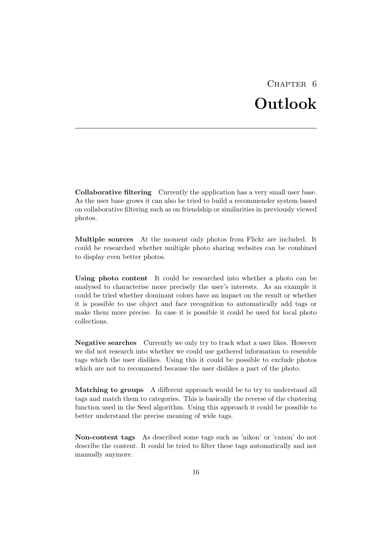# CHAPTER 6 Outlook

<span id="page-19-0"></span>Collaborative filtering Currently the application has a very small user base. As the user base grows it can also be tried to build a recommender system based on collaborative filtering such as on friendship or similarities in previously viewed photos.

Multiple sources At the moment only photos from Flickr are included. It could be researched whether multiple photo sharing websites can be combined to display even better photos.

Using photo content It could be researched into whether a photo can be analysed to characterise more precisely the user's interests. As an example it could be tried whether dominant colors have an impact on the result or whether it is possible to use object and face recognition to automatically add tags or make them more precise. In case it is possible it could be used for local photo collections.

Negative searches Currently we only try to track what a user likes. However we did not research into whether we could use gathered information to resemble tags which the user dislikes. Using this it could be possible to exclude photos which are not to recommend because the user dislikes a part of the photo.

Matching to groups A different approach would be to try to understand all tags and match them to categories. This is basically the reverse of the clustering function used in the Seed algorithm. Using this approach it could be possible to better understand the precise meaning of wide tags.

Non-content tags As described some tags such as 'nikon' or 'canon' do not describe the content. It could be tried to filter these tags automatically and not manually anymore.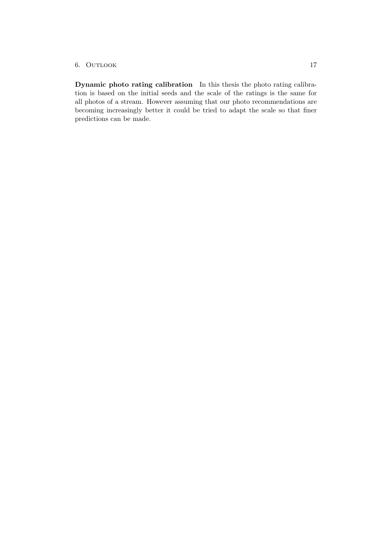#### 6. Outlook 17

Dynamic photo rating calibration In this thesis the photo rating calibration is based on the initial seeds and the scale of the ratings is the same for all photos of a stream. However assuming that our photo recommendations are becoming increasingly better it could be tried to adapt the scale so that finer predictions can be made.